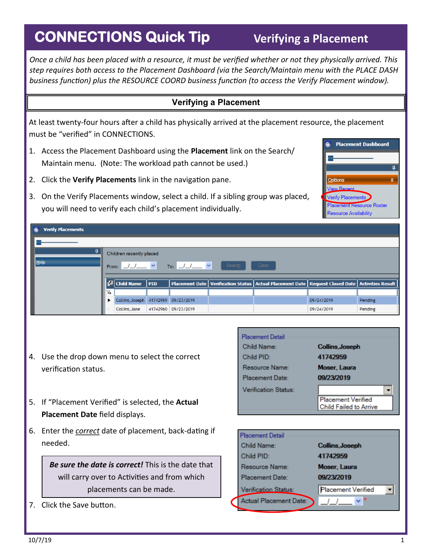## **CONNECTIONS Quick Tip**

*Once a child has been placed with a resource, it must be verified whether or not they physically arrived. This step requires both access to the Placement Dashboard (via the Search/Maintain menu with the PLACE DASH business function) plus the RESOURCE COORD business function (to access the Verify Placement window).*

## **Verifying a Placement**

At least twenty-four hours after a child has physically arrived at the placement resource, the placement must be "verified" in CONNECTIONS.

- 1. Access the Placement Dashboard using the **Placement** link on the Search/ Maintain menu. (Note: The workload path cannot be used.)
- 2. Click the **Verify Placements** link in the navigation pane.
- 3. On the Verify Placements window, select a child. If a sibling group was placed, you will need to verify each child's placement individually.



| $\mathbf{G}$<br><b>Verify Placements</b> |                                                                               |                                     |         |                     |  |                                                                                                        |            |         |  |  |
|------------------------------------------|-------------------------------------------------------------------------------|-------------------------------------|---------|---------------------|--|--------------------------------------------------------------------------------------------------------|------------|---------|--|--|
|                                          |                                                                               |                                     |         |                     |  |                                                                                                        |            |         |  |  |
| ņ                                        | Children recently placed<br>Search<br>Clear<br>To: $1/2$<br>$11 - 8$<br>From: |                                     |         |                     |  |                                                                                                        |            |         |  |  |
| Help                                     |                                                                               |                                     |         |                     |  |                                                                                                        |            |         |  |  |
|                                          |                                                                               |                                     |         |                     |  |                                                                                                        |            |         |  |  |
|                                          |                                                                               | $\frac{1}{2}$ Child Name            | $ $ PID |                     |  | Placement Date   Verification Status   Actual Placement Date   Request Closed Date   Activities Result |            |         |  |  |
|                                          |                                                                               |                                     |         |                     |  |                                                                                                        |            |         |  |  |
|                                          |                                                                               | Collins, Joseph 41742959 09/23/2019 |         |                     |  |                                                                                                        | 09/24/2019 | Pending |  |  |
|                                          |                                                                               | Collins, Jane                       |         | 41742960 09/23/2019 |  |                                                                                                        | 09/24/2019 | Pending |  |  |

- 4. Use the drop down menu to select the correct verification status.
- 5. If "Placement Verified" is selected, the **Actual Placement Date** field displays.
- 6. Enter the *correct* date of placement, back-dating if needed.

*Be sure the date is correct!* This is the date that will carry over to Activities and from which placements can be made.

7. Click the Save button.